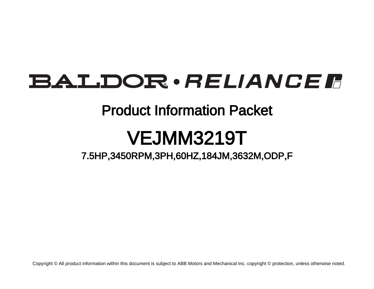## BALDOR · RELIANCE F

### Product Information Packet

# VEJMM3219T

7.5HP,3450RPM,3PH,60HZ,184JM,3632M,ODP,F

Copyright © All product information within this document is subject to ABB Motors and Mechanical Inc. copyright © protection, unless otherwise noted.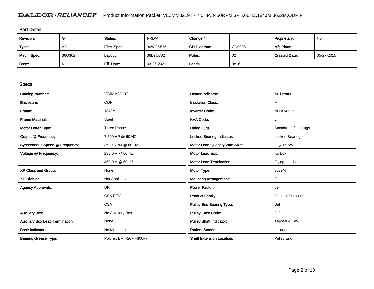### BALDOR · RELIANCE F Product Information Packet: VEJMM3219T - 7.5HP,3450RPM,3PH,60HZ,184JM,3632M,ODP,F

| <b>Part Detail</b> |        |             |            |             |        |                      |            |  |
|--------------------|--------|-------------|------------|-------------|--------|----------------------|------------|--|
| Revision:          | G      | Status:     | PRD/A      | Change #:   |        | Proprietary:         | No         |  |
| Type:              | AC     | Elec. Spec: | 36WGS516   | CD Diagram: | CD0005 | Mfg Plant:           |            |  |
| Mech. Spec:        | 36Q302 | Layout:     | 36LYQ302   | Poles:      | 02     | <b>Created Date:</b> | 05-27-2015 |  |
| Base:              | N      | Eff. Date:  | 03-25-2021 | Leads:      | 9#16   |                      |            |  |

| <b>Specs</b>                           |                         |                                  |                              |
|----------------------------------------|-------------------------|----------------------------------|------------------------------|
| <b>Catalog Number:</b>                 | VEJMM3219T              | <b>Heater Indicator:</b>         | No Heater                    |
| Enclosure:                             | <b>ODP</b>              | <b>Insulation Class:</b>         | F                            |
| Frame:                                 | 184JM                   | <b>Inverter Code:</b>            | Not Inverter                 |
| <b>Frame Material:</b>                 | Steel                   | <b>KVA Code:</b>                 |                              |
| Motor Letter Type:                     | Three Phase             | <b>Lifting Lugs:</b>             | <b>Standard Lifting Lugs</b> |
| Output @ Frequency:                    | 7.500 HP @ 60 HZ        | <b>Locked Bearing Indicator:</b> | Locked Bearing               |
| Synchronous Speed @ Frequency:         | 3600 RPM @ 60 HZ        | Motor Lead Quantity/Wire Size:   | 9 @ 16 AWG                   |
| Voltage @ Frequency:                   | 230.0 V @ 60 HZ         | <b>Motor Lead Exit:</b>          | Ko Box                       |
|                                        | 460.0 V @ 60 HZ         | <b>Motor Lead Termination:</b>   | Flying Leads                 |
| XP Class and Group:                    | None                    | Motor Type:                      | 3632M                        |
| <b>XP Division:</b>                    | Not Applicable          | <b>Mounting Arrangement:</b>     | F <sub>1</sub>               |
| <b>Agency Approvals:</b>               | <b>UR</b>               | <b>Power Factor:</b>             | 89                           |
|                                        | <b>CSA EEV</b>          | <b>Product Family:</b>           | <b>General Purpose</b>       |
|                                        | <b>CSA</b>              | <b>Pulley End Bearing Type:</b>  | Ball                         |
| <b>Auxillary Box:</b>                  | No Auxillary Box        | <b>Pulley Face Code:</b>         | C-Face                       |
| <b>Auxillary Box Lead Termination:</b> | None                    | <b>Pulley Shaft Indicator:</b>   | Tapped & Key                 |
| <b>Base Indicator:</b>                 | No Mounting             | <b>Rodent Screen:</b>            | Included                     |
| <b>Bearing Grease Type:</b>            | Polyrex EM (-20F +300F) | <b>Shaft Extension Location:</b> | Pulley End                   |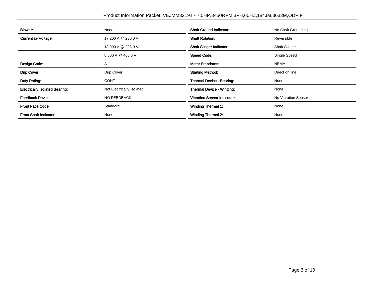| <b>Blower:</b>                        | None                      | <b>Shaft Ground Indicator:</b>     | No Shaft Grounding   |  |
|---------------------------------------|---------------------------|------------------------------------|----------------------|--|
| Current @ Voltage:                    | 17.200 A @ 230.0 V        | <b>Shaft Rotation:</b>             | Reversible           |  |
|                                       | 18.000 A @ 208.0 V        | <b>Shaft Slinger Indicator:</b>    | <b>Shaft Slinger</b> |  |
|                                       | 8.600 A @ 460.0 V         | <b>Speed Code:</b>                 | Single Speed         |  |
| Design Code:                          | A                         | <b>Motor Standards:</b>            | <b>NEMA</b>          |  |
| Drip Cover:                           | Drip Cover                | <b>Starting Method:</b>            | Direct on line       |  |
| Duty Rating:                          | <b>CONT</b>               | Thermal Device - Bearing:          | None                 |  |
| <b>Electrically Isolated Bearing:</b> | Not Electrically Isolated | Thermal Device - Winding:          | None                 |  |
| <b>Feedback Device:</b>               | <b>NO FEEDBACK</b>        | <b>Vibration Sensor Indicator:</b> | No Vibration Sensor  |  |
| Front Face Code:                      | Standard                  | Winding Thermal 1:                 | None                 |  |
| <b>Front Shaft Indicator:</b>         | None                      | Winding Thermal 2:                 | None                 |  |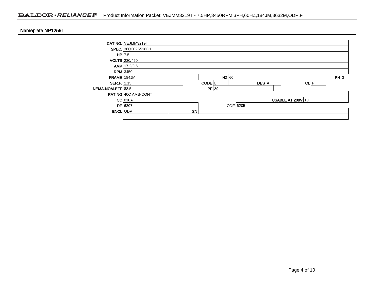### BALDOR · RELIANCE F Product Information Packet: VEJMM3219T - 7.5HP,3450RPM,3PH,60HZ,184JM,3632M,ODP,F

| Nameplate NP1259L |                                       |    |                    |          |      |      |  |
|-------------------|---------------------------------------|----|--------------------|----------|------|------|--|
|                   | CAT.NO. VEJMM3219T                    |    |                    |          |      |      |  |
|                   | SPEC. 36Q302S516G1                    |    |                    |          |      |      |  |
| HP 7.5            |                                       |    |                    |          |      |      |  |
|                   | <b>VOLTS</b> 230/460                  |    |                    |          |      |      |  |
|                   | AMP   17.2/8.6                        |    |                    |          |      |      |  |
|                   | <b>RPM</b> 3450                       |    |                    |          |      |      |  |
| FRAME 184JM       |                                       |    | $HZ$ 60            |          |      | PH 3 |  |
| SER.F. $1.15$     |                                       |    | CODE <sup>IL</sup> | DES A    | CL F |      |  |
| NEMA-NOM-EFF 88.5 |                                       |    | PF 89              |          |      |      |  |
|                   | RATING 40C AMB-CONT                   |    |                    |          |      |      |  |
|                   | $CC$ 010A<br><b>USABLE AT 208V 18</b> |    |                    |          |      |      |  |
|                   | $DE$ 6207                             |    |                    | ODE 6205 |      |      |  |
| <b>ENCL</b> ODP   |                                       | SN |                    |          |      |      |  |
|                   |                                       |    |                    |          |      |      |  |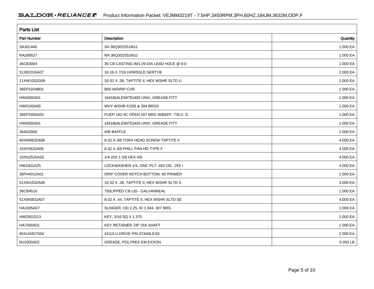| <b>Parts List</b>  |                                          |          |  |  |  |  |
|--------------------|------------------------------------------|----------|--|--|--|--|
| <b>Part Number</b> | Description                              | Quantity |  |  |  |  |
| SA301446           | SA 36Q302S516G1                          | 1.000 EA |  |  |  |  |
| RA288527           | RA 36Q302S516G1                          | 1.000 EA |  |  |  |  |
| 36CB3004           | 36 CB CASTING W/1.09 DIA LEAD HOLE @ 6:0 | 1.000 EA |  |  |  |  |
| 51XB1016A07        | 10-16 X 7/16 HXWSSLD SERTYB              | 2.000 EA |  |  |  |  |
| 11XW1032G06        | 10-32 X .38, TAPTITE II, HEX WSHR SLTD U | 1.000 EA |  |  |  |  |
| 36EP3204B01        | <b>B00 W/DRIP CVR</b>                    | 1.000 EA |  |  |  |  |
| HW4500A01          | 1641B(ALEMITE)400 UNIV, GREASE FITT      | 1.000 EA |  |  |  |  |
| HW5100A05          | WVY WSHR F/205 & 304 BRGS                | 1.000 EA |  |  |  |  |
| 36EP3405A02        | PUEP 182-4C OPEN 207 BRG W/BAFF. TSLV, G | 1.000 EA |  |  |  |  |
| HW4500A01          | 1641B(ALEMITE)400 UNIV, GREASE FITT      | 1.000 EA |  |  |  |  |
| 36AD2000           | AIR BAFFLE                               | 1.000 EA |  |  |  |  |
| 60XW0632A06        | 6-32 X 3/8 TORX HEAD SCREW TAPTITE II    | 4.000 EA |  |  |  |  |
| 15XF0632A06        | 6-32 X 3/8 PHILL PAN HD TYPE F           | 4.000 EA |  |  |  |  |
| 10XN2520A26        | 1/4-20X 1 5/8 HEX HD                     | 4.000 EA |  |  |  |  |
| HW1001A25          | LOCKWASHER 1/4, ZINC PLT .493 OD, .255 I | 4.000 EA |  |  |  |  |
| 36FH4012A01        | DRIP COVER NOTCH BOTTOM, W/ PRIMER       | 1.000 EA |  |  |  |  |
| 51XW1032A06        | 10-32 X .38, TAPTITE II, HEX WSHR SLTD S | 3.000 EA |  |  |  |  |
| 36CB4516           | 750LIPPED CB LID - GALVANNEAL            | 1.000 EA |  |  |  |  |
| 51XW0832A07        | 8-32 X .44, TAPTITE II, HEX WSHR SLTD SE | 4.000 EA |  |  |  |  |
| HA1005A07          | SLINGER, OD 2.25, ID 1.344, 307 BRG      | 1.000 EA |  |  |  |  |
| HW2501D13          | KEY, 3/16 SQ X 1.375                     | 1.000 EA |  |  |  |  |
| HA7000A01          | KEY RETAINER 7/8" DIA SHAFT              | 1.000 EA |  |  |  |  |
| 85XU0407S04        | 4X1/4 U DRIVE PIN STAINLESS              | 2.000 EA |  |  |  |  |
| MJ1000A02          | GREASE, POLYREX EM EXXON                 | 0.050 LB |  |  |  |  |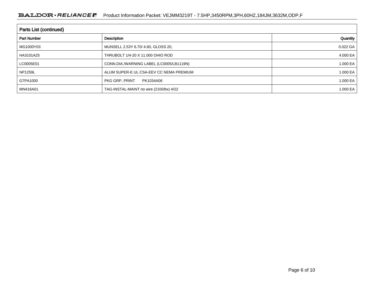### BALDOR · RELIANCE F Product Information Packet: VEJMM3219T - 7.5HP,3450RPM,3PH,60HZ,184JM,3632M,ODP,F

| <b>Parts List (continued)</b> |                                          |              |  |  |  |  |
|-------------------------------|------------------------------------------|--------------|--|--|--|--|
| <b>Part Number</b>            | Description                              | Quantity     |  |  |  |  |
| MG1000Y03                     | MUNSELL 2.53Y 6.70/ 4.60, GLOSS 20,      | $0.022$ GA   |  |  |  |  |
| HA3101A25                     | THRUBOLT 1/4-20 X 11.000 OHIO ROD        | 4.000 EA $ $ |  |  |  |  |
| LC0005E01                     | CONN.DIA./WARNING LABEL (LC0005/LB1119N) | 1.000 EA $ $ |  |  |  |  |
| <b>NP1259L</b>                | ALUM SUPER-E UL CSA-EEV CC NEMA PREMIUM  | 1.000 EA $ $ |  |  |  |  |
| G7PA1000                      | PKG GRP, PRINT<br>PK1034A06              | 1.000 EA $ $ |  |  |  |  |
| MN416A01                      | TAG-INSTAL-MAINT no wire (2100/bx) 4/22  | 1.000 EA $ $ |  |  |  |  |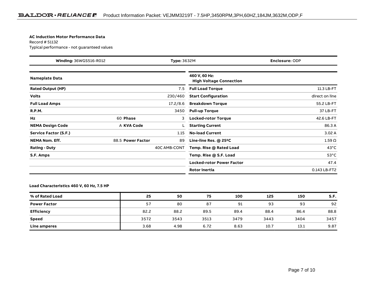#### **AC Induction Motor Performance Data**

Record # 51132Typical performance - not guaranteed values

| Winding: 36WGS516-R012<br><b>Type: 3632M</b> |                   | <b>Enclosure: ODP</b> |                                                 |                |
|----------------------------------------------|-------------------|-----------------------|-------------------------------------------------|----------------|
| <b>Nameplate Data</b>                        |                   |                       | 460 V, 60 Hz:<br><b>High Voltage Connection</b> |                |
| <b>Rated Output (HP)</b>                     |                   | 7.5                   | <b>Full Load Torque</b>                         | 11.3 LB-FT     |
| <b>Volts</b>                                 |                   | 230/460               | <b>Start Configuration</b>                      | direct on line |
| <b>Full Load Amps</b>                        |                   | 17.2/8.6              | <b>Breakdown Torque</b>                         | 55.2 LB-FT     |
| <b>R.P.M.</b>                                |                   | 3450                  | <b>Pull-up Torque</b>                           | 37 LB-FT       |
| Hz                                           | 60 Phase          | 3                     | <b>Locked-rotor Torque</b>                      | 42.6 LB-FT     |
| <b>NEMA Design Code</b>                      | A KVA Code        |                       | <b>Starting Current</b>                         | 86.3 A         |
| Service Factor (S.F.)                        |                   | 1.15                  | <b>No-load Current</b>                          | 3.02A          |
| <b>NEMA Nom. Eff.</b>                        | 88.5 Power Factor | 89                    | Line-line Res. @ 25°C                           | $1.59\ \Omega$ |
| <b>Rating - Duty</b>                         |                   | 40C AMB-CONT          | Temp. Rise @ Rated Load                         | $43^{\circ}$ C |
| S.F. Amps                                    |                   |                       | Temp. Rise @ S.F. Load                          | $53^{\circ}$ C |
|                                              |                   |                       | <b>Locked-rotor Power Factor</b>                | 47.4           |
|                                              |                   |                       | <b>Rotor inertia</b>                            | 0.143 LB-FT2   |

**Load Characteristics 460 V, 60 Hz, 7.5 HP**

| % of Rated Load     | 25   | 50   | 75   | 100  | 125  | 150  | S.F. |
|---------------------|------|------|------|------|------|------|------|
| <b>Power Factor</b> | 57   | 80   | 87   | 91   | 93   | 93   | 92   |
| <b>Efficiency</b>   | 82.2 | 88.2 | 89.5 | 89.4 | 88.4 | 86.4 | 88.8 |
| Speed               | 3572 | 3543 | 3513 | 3479 | 3443 | 3404 | 3457 |
| Line amperes        | 3.68 | 4.98 | 6.72 | 8.63 | 10.7 | 13.1 | 9.87 |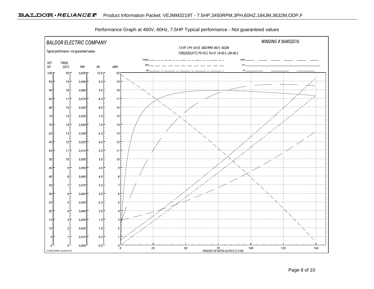

Performance Graph at 460V, 60Hz, 7.5HP Typical performance - Not guaranteed values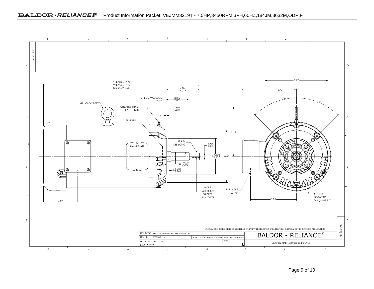